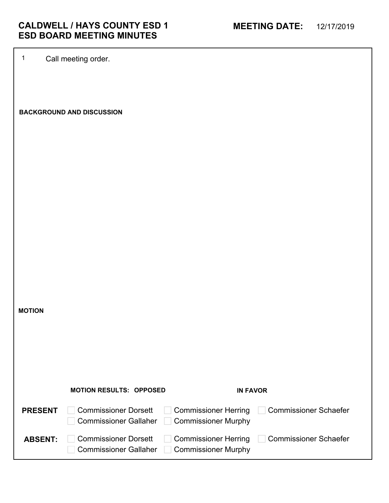1 Call meeting order.

**BACKGROUND AND DISCUSSION**

**MOTION**

|                | <b>MOTION RESULTS: OPPOSED</b>                              | <b>IN FAVOR</b>                                           |                              |
|----------------|-------------------------------------------------------------|-----------------------------------------------------------|------------------------------|
| <b>PRESENT</b> | <b>Commissioner Dorsett</b><br><b>Commissioner Gallaher</b> | <b>Commissioner Herring</b><br><b>Commissioner Murphy</b> | <b>Commissioner Schaefer</b> |
| <b>ABSENT:</b> | <b>Commissioner Dorsett</b><br><b>Commissioner Gallaher</b> | <b>Commissioner Herring</b><br><b>Commissioner Murphy</b> | <b>Commissioner Schaefer</b> |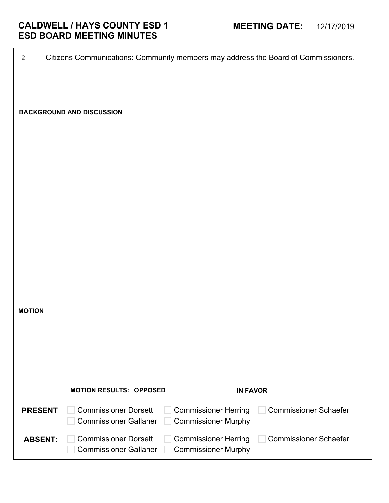| $\overline{2}$ | Citizens Communications: Community members may address the Board of Commissioners.                                       |                              |
|----------------|--------------------------------------------------------------------------------------------------------------------------|------------------------------|
|                |                                                                                                                          |                              |
|                |                                                                                                                          |                              |
|                | <b>BACKGROUND AND DISCUSSION</b>                                                                                         |                              |
|                |                                                                                                                          |                              |
|                |                                                                                                                          |                              |
|                |                                                                                                                          |                              |
|                |                                                                                                                          |                              |
|                |                                                                                                                          |                              |
|                |                                                                                                                          |                              |
|                |                                                                                                                          |                              |
|                |                                                                                                                          |                              |
|                |                                                                                                                          |                              |
|                |                                                                                                                          |                              |
|                |                                                                                                                          |                              |
| <b>MOTION</b>  |                                                                                                                          |                              |
|                |                                                                                                                          |                              |
|                |                                                                                                                          |                              |
|                |                                                                                                                          |                              |
|                |                                                                                                                          |                              |
|                | <b>MOTION RESULTS: OPPOSED</b><br><b>IN FAVOR</b>                                                                        |                              |
| <b>PRESENT</b> | <b>Commissioner Dorsett</b><br><b>Commissioner Herring</b><br><b>Commissioner Gallaher</b><br><b>Commissioner Murphy</b> | <b>Commissioner Schaefer</b> |
| <b>ABSENT:</b> | <b>Commissioner Dorsett</b><br><b>Commissioner Herring</b><br><b>Commissioner Gallaher</b><br><b>Commissioner Murphy</b> | <b>Commissioner Schaefer</b> |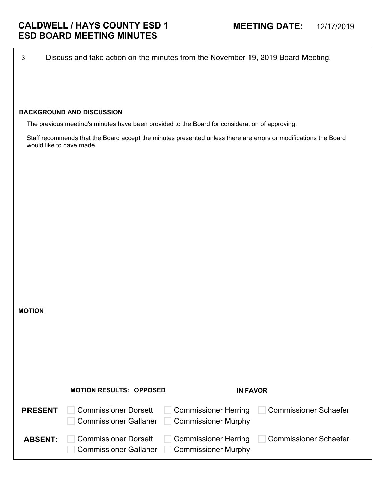| Discuss and take action on the minutes from the November 19, 2019 Board Meeting.<br>$\sqrt{3}$ |                                                                                                                 |                             |                              |
|------------------------------------------------------------------------------------------------|-----------------------------------------------------------------------------------------------------------------|-----------------------------|------------------------------|
|                                                                                                |                                                                                                                 |                             |                              |
|                                                                                                |                                                                                                                 |                             |                              |
|                                                                                                | <b>BACKGROUND AND DISCUSSION</b>                                                                                |                             |                              |
|                                                                                                | The previous meeting's minutes have been provided to the Board for consideration of approving.                  |                             |                              |
|                                                                                                | Staff recommends that the Board accept the minutes presented unless there are errors or modifications the Board |                             |                              |
|                                                                                                | would like to have made.                                                                                        |                             |                              |
|                                                                                                |                                                                                                                 |                             |                              |
|                                                                                                |                                                                                                                 |                             |                              |
|                                                                                                |                                                                                                                 |                             |                              |
|                                                                                                |                                                                                                                 |                             |                              |
|                                                                                                |                                                                                                                 |                             |                              |
|                                                                                                |                                                                                                                 |                             |                              |
|                                                                                                |                                                                                                                 |                             |                              |
|                                                                                                |                                                                                                                 |                             |                              |
|                                                                                                |                                                                                                                 |                             |                              |
|                                                                                                |                                                                                                                 |                             |                              |
| <b>MOTION</b>                                                                                  |                                                                                                                 |                             |                              |
|                                                                                                |                                                                                                                 |                             |                              |
|                                                                                                |                                                                                                                 |                             |                              |
|                                                                                                |                                                                                                                 |                             |                              |
|                                                                                                |                                                                                                                 |                             |                              |
|                                                                                                | <b>MOTION RESULTS: OPPOSED</b>                                                                                  | <b>IN FAVOR</b>             |                              |
|                                                                                                |                                                                                                                 |                             |                              |
| <b>PRESENT</b>                                                                                 | <b>Commissioner Dorsett</b>                                                                                     | <b>Commissioner Herring</b> | <b>Commissioner Schaefer</b> |
|                                                                                                | <b>Commissioner Gallaher</b>                                                                                    | <b>Commissioner Murphy</b>  |                              |
| <b>ABSENT:</b>                                                                                 | <b>Commissioner Dorsett</b><br><b>Commissioner Gallaher</b>                                                     | <b>Commissioner Herring</b> | <b>Commissioner Schaefer</b> |
|                                                                                                |                                                                                                                 | <b>Commissioner Murphy</b>  |                              |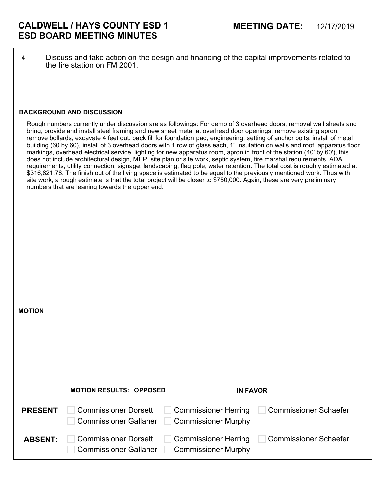4 Discuss and take action on the design and financing of the capital improvements related to the fire station on FM 2001.

## **BACKGROUND AND DISCUSSION**

**MOTION**

Rough numbers currently under discussion are as followings: For demo of 3 overhead doors, removal wall sheets and bring, provide and install steel framing and new sheet metal at overhead door openings, remove existing apron, remove bollards, excavate 4 feet out, back fill for foundation pad, engineering, setting of anchor bolts, install of metal building (60 by 60), install of 3 overhead doors with 1 row of glass each, 1" insulation on walls and roof, apparatus floor markings, overhead electrical service, lighting for new apparatus room, apron in front of the station (40' by 60'), this does not include architectural design, MEP, site plan or site work, septic system, fire marshal requirements, ADA requirements, utility connection, signage, landscaping, flag pole, water retention. The total cost is roughly estimated at \$316,821.78. The finish out of the living space is estimated to be equal to the previously mentioned work. Thus with site work, a rough estimate is that the total project will be closer to \$750,000. Again, these are very preliminary numbers that are leaning towards the upper end.

|                | <b>MOTION RESULTS: OPPOSED</b>                       | <b>IN FAVOR</b>     |                                                |
|----------------|------------------------------------------------------|---------------------|------------------------------------------------|
| <b>PRESENT</b> | <b>Commissioner Dorsett</b><br>Commissioner Gallaher | Commissioner Murphy | □ Commissioner Herring □ Commissioner Schaefer |
| <b>ABSENT:</b> | <b>Commissioner Dorsett</b><br>Commissioner Gallaher | Commissioner Murphy | ◯ Commissioner Herring ◯ Commissioner Schaefer |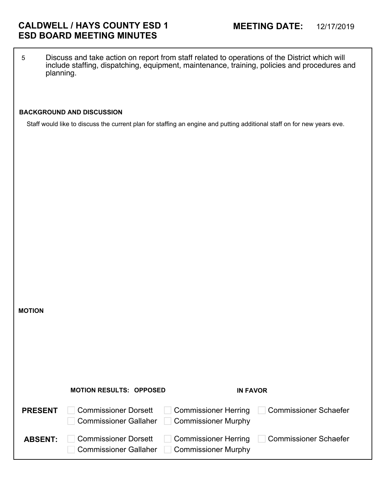5 Discuss and take action on report from staff related to operations of the District which will include staffing, dispatching, equipment, maintenance, training, policies and procedures and planning.

## **BACKGROUND AND DISCUSSION**

**MOTION**

Staff would like to discuss the current plan for staffing an engine and putting additional staff on for new years eve.

|                | <b>MOTION RESULTS: OPPOSED</b> | <b>IN FAVOR</b>             |                                              |
|----------------|--------------------------------|-----------------------------|----------------------------------------------|
| <b>PRESENT</b> | <b>Commissioner Dorsett</b>    |                             | Commissioner Herring   Commissioner Schaefer |
|                | <b>Commissioner Gallaher</b>   | <b>Commissioner Murphy</b>  |                                              |
| <b>ABSENT:</b> | <b>Commissioner Dorsett</b>    | <b>Commissioner Herring</b> | Commissioner Schaefer                        |
|                | <b>Commissioner Gallaher</b>   | <b>Commissioner Murphy</b>  |                                              |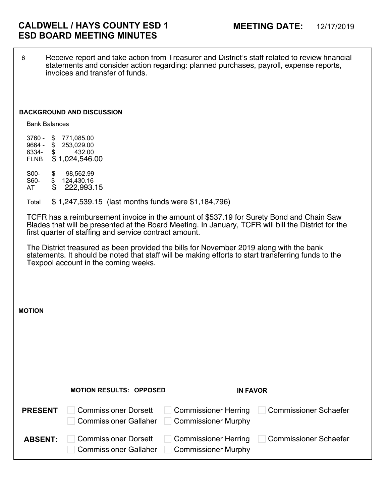6 Receive report and take action from Treasurer and District's staff related to review financial statements and consider action regarding: planned purchases, payroll, expense reports, invoices and transfer of funds.

## **BACKGROUND AND DISCUSSION**

Bank Balances

**MOTION**

3760 - \$ 771,085.00 9664 - \$ 253,029.00<br>6334- \$ 432.00 6334- \$ 432.00 FLNB \$ 1,024,546.00

S00- \$ 98,562.99 S60- \$ 124,430.16 AT \$ 222,993.15

Total \$ 1,247,539.15 (last months funds were \$1,184,796)

TCFR has a reimbursement invoice in the amount of \$537.19 for Surety Bond and Chain Saw Blades that will be presented at the Board Meeting. In January, TCFR will bill the District for the first quarter of staffing and service contract amount.

The District treasured as been provided the bills for November 2019 along with the bank statements. It should be noted that staff will be making efforts to start transferring funds to the Texpool account in the coming weeks.

|                | <b>MOTION RESULTS: OPPOSED</b>                              | <b>IN FAVOR</b>                                           |                              |
|----------------|-------------------------------------------------------------|-----------------------------------------------------------|------------------------------|
| <b>PRESENT</b> | <b>Commissioner Dorsett</b><br><b>Commissioner Gallaher</b> | <b>Commissioner Herring</b><br><b>Commissioner Murphy</b> | □ Commissioner Schaefer      |
| <b>ABSENT:</b> | <b>Commissioner Dorsett</b><br><b>Commissioner Gallaher</b> | <b>Commissioner Herring</b><br><b>Commissioner Murphy</b> | <b>Commissioner Schaefer</b> |